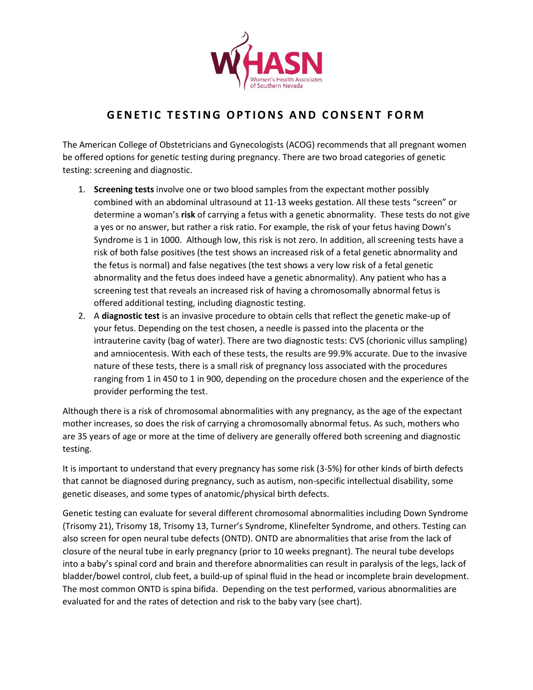

## **GENETIC TESTING OPTIONS AND CONSENT FORM**

The American College of Obstetricians and Gynecologists (ACOG) recommends that all pregnant women be offered options for genetic testing during pregnancy. There are two broad categories of genetic testing: screening and diagnostic.

- 1. **Screening tests** involve one or two blood samples from the expectant mother possibly combined with an abdominal ultrasound at 11-13 weeks gestation. All these tests "screen" or determine a woman's **risk** of carrying a fetus with a genetic abnormality. These tests do not give a yes or no answer, but rather a risk ratio. For example, the risk of your fetus having Down's Syndrome is 1 in 1000. Although low, this risk is not zero. In addition, all screening tests have a risk of both false positives (the test shows an increased risk of a fetal genetic abnormality and the fetus is normal) and false negatives (the test shows a very low risk of a fetal genetic abnormality and the fetus does indeed have a genetic abnormality). Any patient who has a screening test that reveals an increased risk of having a chromosomally abnormal fetus is offered additional testing, including diagnostic testing.
- 2. A **diagnostic test** is an invasive procedure to obtain cells that reflect the genetic make-up of your fetus. Depending on the test chosen, a needle is passed into the placenta or the intrauterine cavity (bag of water). There are two diagnostic tests: CVS (chorionic villus sampling) and amniocentesis. With each of these tests, the results are 99.9% accurate. Due to the invasive nature of these tests, there is a small risk of pregnancy loss associated with the procedures ranging from 1 in 450 to 1 in 900, depending on the procedure chosen and the experience of the provider performing the test.

Although there is a risk of chromosomal abnormalities with any pregnancy, as the age of the expectant mother increases, so does the risk of carrying a chromosomally abnormal fetus. As such, mothers who are 35 years of age or more at the time of delivery are generally offered both screening and diagnostic testing.

It is important to understand that every pregnancy has some risk (3-5%) for other kinds of birth defects that cannot be diagnosed during pregnancy, such as autism, non-specific intellectual disability, some genetic diseases, and some types of anatomic/physical birth defects.

Genetic testing can evaluate for several different chromosomal abnormalities including Down Syndrome (Trisomy 21), Trisomy 18, Trisomy 13, Turner's Syndrome, Klinefelter Syndrome, and others. Testing can also screen for open neural tube defects (ONTD). ONTD are abnormalities that arise from the lack of closure of the neural tube in early pregnancy (prior to 10 weeks pregnant). The neural tube develops into a baby's spinal cord and brain and therefore abnormalities can result in paralysis of the legs, lack of bladder/bowel control, club feet, a build-up of spinal fluid in the head or incomplete brain development. The most common ONTD is spina bifida. Depending on the test performed, various abnormalities are evaluated for and the rates of detection and risk to the baby vary (see chart).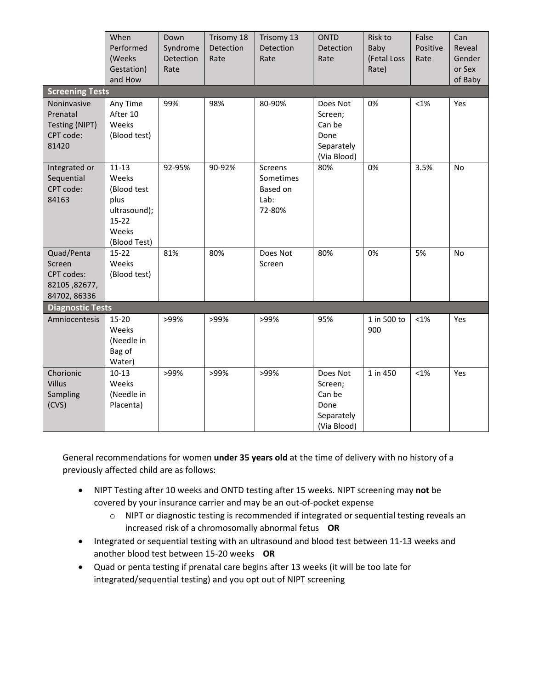|                                                                     | When<br>Performed<br>(Weeks<br>Gestation)<br>and How                                            | Down<br>Syndrome<br>Detection<br>Rate | Trisomy 18<br>Detection<br>Rate | Trisomy 13<br>Detection<br>Rate                    | <b>ONTD</b><br>Detection<br>Rate                                   | Risk to<br>Baby<br>(Fetal Loss<br>Rate) | False<br>Positive<br>Rate | Can<br>Reveal<br>Gender<br>or Sex<br>of Baby |
|---------------------------------------------------------------------|-------------------------------------------------------------------------------------------------|---------------------------------------|---------------------------------|----------------------------------------------------|--------------------------------------------------------------------|-----------------------------------------|---------------------------|----------------------------------------------|
| <b>Screening Tests</b>                                              |                                                                                                 |                                       |                                 |                                                    |                                                                    |                                         |                           |                                              |
| Noninvasive<br>Prenatal<br>Testing (NIPT)<br>CPT code:<br>81420     | Any Time<br>After 10<br>Weeks<br>(Blood test)                                                   | 99%                                   | 98%                             | 80-90%                                             | Does Not<br>Screen;<br>Can be<br>Done<br>Separately<br>(Via Blood) | 0%                                      | $< 1\%$                   | Yes                                          |
| Integrated or<br>Sequential<br>CPT code:<br>84163                   | $11 - 13$<br>Weeks<br>(Blood test<br>plus<br>ultrasound);<br>$15 - 22$<br>Weeks<br>(Blood Test) | 92-95%                                | 90-92%                          | Screens<br>Sometimes<br>Based on<br>Lab:<br>72-80% | 80%                                                                | 0%                                      | 3.5%                      | No                                           |
| Quad/Penta<br>Screen<br>CPT codes:<br>82105, 82677,<br>84702, 86336 | $15-22$<br>Weeks<br>(Blood test)                                                                | 81%                                   | 80%                             | Does Not<br>Screen                                 | 80%                                                                | 0%                                      | 5%                        | No                                           |
| <b>Diagnostic Tests</b>                                             |                                                                                                 |                                       |                                 |                                                    |                                                                    |                                         |                           |                                              |
| Amniocentesis                                                       | 15-20<br>Weeks<br>(Needle in<br>Bag of<br>Water)                                                | >99%                                  | >99%                            | >99%                                               | 95%                                                                | 1 in 500 to<br>900                      | $< 1\%$                   | Yes                                          |
| Chorionic<br>Villus<br>Sampling<br>(CVS)                            | $10 - 13$<br>Weeks<br>(Needle in<br>Placenta)                                                   | >99%                                  | >99%                            | >99%                                               | Does Not<br>Screen;<br>Can be<br>Done<br>Separately<br>(Via Blood) | 1 in 450                                | $< 1\%$                   | Yes                                          |

General recommendations for women **under 35 years old** at the time of delivery with no history of a previously affected child are as follows:

- NIPT Testing after 10 weeks and ONTD testing after 15 weeks. NIPT screening may **not** be covered by your insurance carrier and may be an out-of-pocket expense
	- o NIPT or diagnostic testing is recommended if integrated or sequential testing reveals an increased risk of a chromosomally abnormal fetus **OR**
- Integrated or sequential testing with an ultrasound and blood test between 11-13 weeks and another blood test between 15-20 weeks **OR**
- Quad or penta testing if prenatal care begins after 13 weeks (it will be too late for integrated/sequential testing) and you opt out of NIPT screening